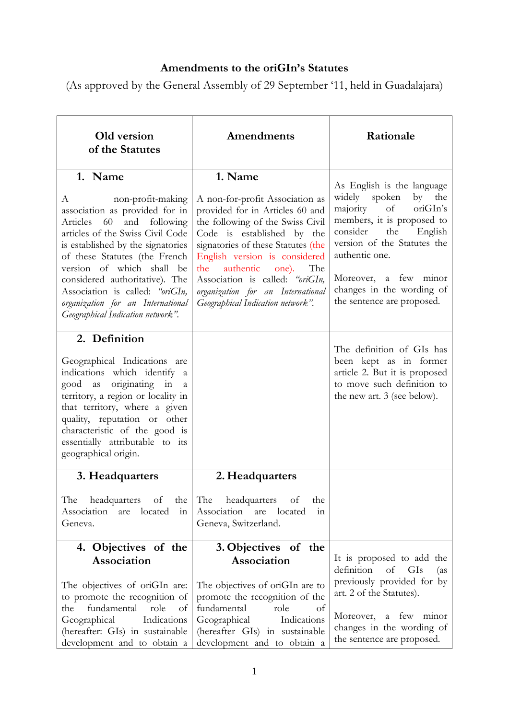# **Amendments to the oriGIn's Statutes**

(As approved by the General Assembly of 29 September '11, held in Guadalajara)

| Old version<br>of the Statutes                                                                                                                                                                                                                                                                                                                                                         | Amendments                                                                                                                                                                                                                                                                                                                                                           | Rationale                                                                                                                                                                                                                                                                         |
|----------------------------------------------------------------------------------------------------------------------------------------------------------------------------------------------------------------------------------------------------------------------------------------------------------------------------------------------------------------------------------------|----------------------------------------------------------------------------------------------------------------------------------------------------------------------------------------------------------------------------------------------------------------------------------------------------------------------------------------------------------------------|-----------------------------------------------------------------------------------------------------------------------------------------------------------------------------------------------------------------------------------------------------------------------------------|
| 1. Name<br>non-profit-making<br>A<br>association as provided for in<br>Articles 60 and following<br>articles of the Swiss Civil Code<br>is established by the signatories<br>of these Statutes (the French<br>version of which shall be<br>considered authoritative). The<br>Association is called: "oriGIn,<br>organization for an International<br>Geographical Indication network". | 1. Name<br>A non-for-profit Association as<br>provided for in Articles 60 and<br>the following of the Swiss Civil<br>Code is established by the<br>signatories of these Statutes (the<br>English version is considered<br>authentic<br>the<br>one). The<br>Association is called: "oriGIn,<br>organization for an International<br>Geographical Indication network". | As English is the language<br>widely spoken by the<br>majority<br>of<br>oriGIn's<br>members, it is proposed to<br>the<br>consider<br>English<br>version of the Statutes the<br>authentic one.<br>Moreover, a few minor<br>changes in the wording of<br>the sentence are proposed. |
| 2. Definition<br>Geographical Indications are<br>indications which identify a<br>good as originating in<br>a<br>territory, a region or locality in<br>that territory, where a given<br>quality, reputation or other<br>characteristic of the good is<br>essentially attributable to its<br>geographical origin.                                                                        |                                                                                                                                                                                                                                                                                                                                                                      | The definition of GIs has<br>been kept as in former<br>article 2. But it is proposed<br>to move such definition to<br>the new art. 3 (see below).                                                                                                                                 |
| 3. Headquarters<br>The<br>headquarters<br>of<br>the<br>Association<br>located<br>are<br>$\frac{1}{1}$<br>Geneva.                                                                                                                                                                                                                                                                       | 2. Headquarters<br>The<br>headquarters<br>of<br>the<br>Association are<br>located<br>111<br>Geneva, Switzerland.                                                                                                                                                                                                                                                     |                                                                                                                                                                                                                                                                                   |
| 4. Objectives of the<br>Association<br>The objectives of oriGIn are:<br>to promote the recognition of<br>fundamental<br>the<br>role<br>of<br>Geographical<br>Indications<br>(hereafter: GIs) in sustainable<br>development and to obtain a                                                                                                                                             | 3. Objectives of the<br>Association<br>The objectives of oriGIn are to<br>promote the recognition of the<br>fundamental<br>role<br>of<br>Indications<br>Geographical<br>(hereafter GIs) in sustainable<br>development and to obtain a                                                                                                                                | It is proposed to add the<br>definition<br>of<br>GIs<br>(as<br>previously provided for by<br>art. 2 of the Statutes).<br>Moreover, a few minor<br>changes in the wording of<br>the sentence are proposed.                                                                         |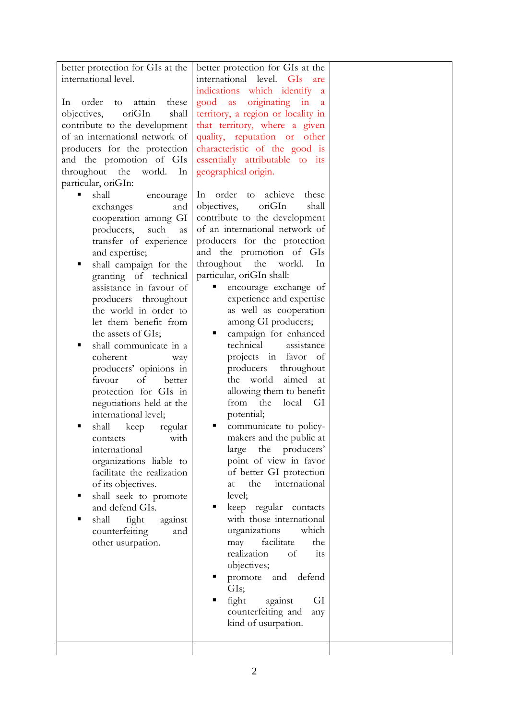| better protection for GIs at the<br>international level.<br>In<br>order<br>these<br>attain<br>to<br>oriGIn<br>objectives,<br>shall<br>contribute to the development<br>of an international network of<br>producers for the protection<br>and the promotion of GIs<br>throughout the<br>world.<br>In<br>particular, oriGIn:<br>shall<br>encourage<br>exchanges<br>and<br>cooperation among GI<br>producers,<br>such<br>as<br>transfer of experience<br>and expertise;<br>shall campaign for the<br>п<br>granting of technical<br>assistance in favour of<br>producers throughout<br>the world in order to<br>let them benefit from<br>the assets of GIs;<br>shall communicate in a<br>п<br>coherent<br>way<br>producers' opinions in<br>favour<br>of<br>better<br>protection for GIs in<br>negotiations held at the<br>international level;<br>shall<br>keep<br>regular<br>with<br>contacts<br>international<br>organizations liable to<br>facilitate the realization<br>of its objectives.<br>shall seek to promote<br>and defend GIs.<br>shall<br>fight<br>against<br>counterfeiting<br>and<br>other usurpation. | better protection for GIs at the<br>international level. GIs<br>are<br>indications which identify<br>a<br>originating in<br>good<br>as<br>a<br>territory, a region or locality in<br>that territory, where a given<br>quality, reputation or other<br>characteristic of the good is<br>essentially attributable to its<br>geographical origin.<br>achieve<br>In order<br>these<br>to<br>oriGIn<br>objectives,<br>shall<br>contribute to the development<br>of an international network of<br>producers for the protection<br>and the promotion of GIs<br>throughout<br>the<br>world.<br>In<br>particular, oriGIn shall:<br>encourage exchange of<br>experience and expertise<br>as well as cooperation<br>among GI producers;<br>campaign for enhanced<br>п<br>technical<br>assistance<br>projects in favor of<br>producers<br>throughout<br>the world<br>aimed<br>at<br>allowing them to benefit<br>from<br>the<br>local<br>- GI<br>potential;<br>communicate to policy-<br>makers and the public at<br>the producers'<br>large<br>point of view in favor<br>of better GI protection<br>the<br>international<br>at<br>level;<br>keep regular contacts<br>with those international<br>which<br>organizations<br>facilitate<br>the<br>may<br>realization<br>of<br>its<br>objectives; |  |
|-------------------------------------------------------------------------------------------------------------------------------------------------------------------------------------------------------------------------------------------------------------------------------------------------------------------------------------------------------------------------------------------------------------------------------------------------------------------------------------------------------------------------------------------------------------------------------------------------------------------------------------------------------------------------------------------------------------------------------------------------------------------------------------------------------------------------------------------------------------------------------------------------------------------------------------------------------------------------------------------------------------------------------------------------------------------------------------------------------------------|-------------------------------------------------------------------------------------------------------------------------------------------------------------------------------------------------------------------------------------------------------------------------------------------------------------------------------------------------------------------------------------------------------------------------------------------------------------------------------------------------------------------------------------------------------------------------------------------------------------------------------------------------------------------------------------------------------------------------------------------------------------------------------------------------------------------------------------------------------------------------------------------------------------------------------------------------------------------------------------------------------------------------------------------------------------------------------------------------------------------------------------------------------------------------------------------------------------------------------------------------------------------------------------|--|
|                                                                                                                                                                                                                                                                                                                                                                                                                                                                                                                                                                                                                                                                                                                                                                                                                                                                                                                                                                                                                                                                                                                   | promote and defend<br>GIs;<br>fight<br>against<br>GI<br>counterfeiting and<br>any<br>kind of usurpation.                                                                                                                                                                                                                                                                                                                                                                                                                                                                                                                                                                                                                                                                                                                                                                                                                                                                                                                                                                                                                                                                                                                                                                            |  |
|                                                                                                                                                                                                                                                                                                                                                                                                                                                                                                                                                                                                                                                                                                                                                                                                                                                                                                                                                                                                                                                                                                                   |                                                                                                                                                                                                                                                                                                                                                                                                                                                                                                                                                                                                                                                                                                                                                                                                                                                                                                                                                                                                                                                                                                                                                                                                                                                                                     |  |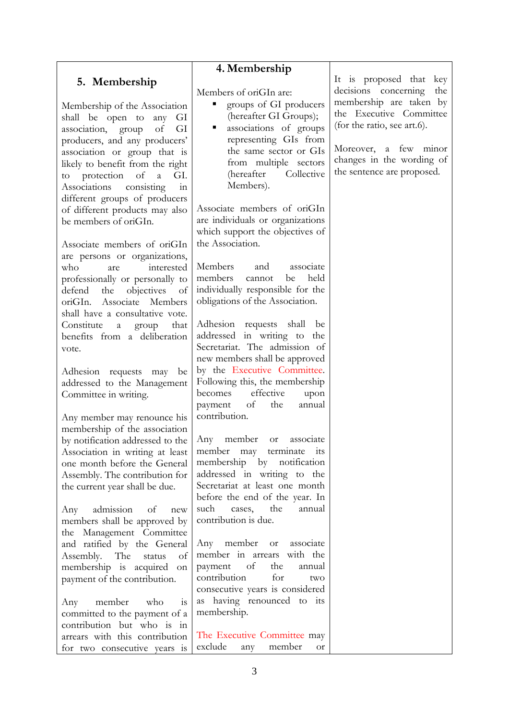# **5. Membership**

Membership of the Association shall be open to any GI association, group of GI producers, and any producers' association or group that is likely to benefit from the right to protection of a GI. Associations consisting in different groups of producers of different products may also be members of oriGIn.

Associate members of oriGIn are persons or organizations, who are interested professionally or personally to defend the objectives of oriGIn. Associate Members shall have a consultative vote. Constitute a group that benefits from a deliberation vote.

Adhesion requests may be addressed to the Management Committee in writing.

Any member may renounce his membership of the association by notification addressed to the Association in writing at least one month before the General Assembly. The contribution for the current year shall be due.

Any admission of new members shall be approved by the Management Committee and ratified by the General Assembly. The status of membership is acquired on payment of the contribution.

Any member who is committed to the payment of a contribution but who is in arrears with this contribution for two consecutive years is

## **4. Membership**

Members of oriGIn are:

- groups of GI producers (hereafter GI Groups);
- associations of groups representing GIs from the same sector or GIs from multiple sectors (hereafter Collective Members).

Associate members of oriGIn are individuals or organizations which support the objectives of the Association.

Members and associate members cannot be held individually responsible for the obligations of the Association.

Adhesion requests shall be addressed in writing to the Secretariat. The admission of new members shall be approved by the Executive Committee. Following this, the membership becomes effective upon payment of the annual contribution.

Any member or associate member may terminate its membership by notification addressed in writing to the Secretariat at least one month before the end of the year. In such cases, the annual contribution is due.

Any member or associate member in arrears with the payment of the annual contribution for two consecutive years is considered as having renounced to its membership.

The Executive Committee may exclude any member or It is proposed that key decisions concerning the membership are taken by the Executive Committee (for the ratio, see art.6).

Moreover, a few minor changes in the wording of the sentence are proposed.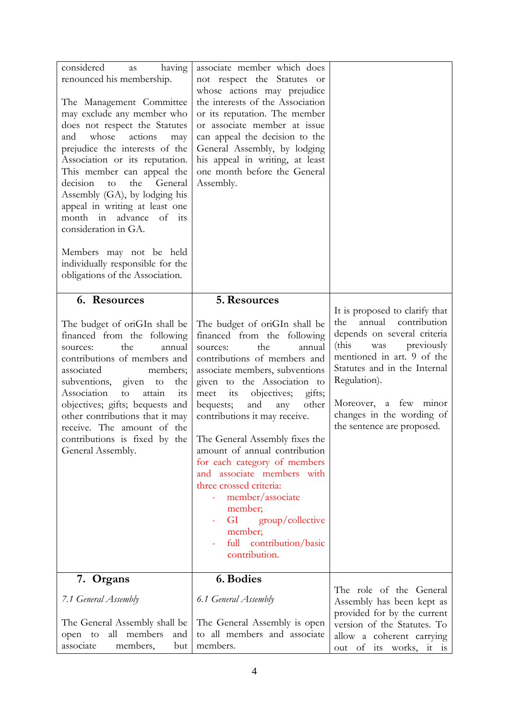| considered<br>having<br>as<br>renounced his membership.<br>The Management Committee<br>may exclude any member who<br>does not respect the Statutes<br>whose<br>actions<br>and<br>may<br>prejudice the interests of the<br>Association or its reputation.<br>This member can appeal the<br>decision<br>the<br>General<br>to<br>Assembly (GA), by lodging his<br>appeal in writing at least one<br>month in advance<br>of<br>its<br>consideration in GA.<br>Members may not be held<br>individually responsible for the<br>obligations of the Association. | associate member which does<br>not respect the Statutes or<br>whose actions may prejudice<br>the interests of the Association<br>or its reputation. The member<br>or associate member at issue<br>can appeal the decision to the<br>General Assembly, by lodging<br>his appeal in writing, at least<br>one month before the General<br>Assembly.                                                                                                                                                                                                                                                                                  |                                                                                                                                                                                                                                                                                                 |
|----------------------------------------------------------------------------------------------------------------------------------------------------------------------------------------------------------------------------------------------------------------------------------------------------------------------------------------------------------------------------------------------------------------------------------------------------------------------------------------------------------------------------------------------------------|-----------------------------------------------------------------------------------------------------------------------------------------------------------------------------------------------------------------------------------------------------------------------------------------------------------------------------------------------------------------------------------------------------------------------------------------------------------------------------------------------------------------------------------------------------------------------------------------------------------------------------------|-------------------------------------------------------------------------------------------------------------------------------------------------------------------------------------------------------------------------------------------------------------------------------------------------|
| 6. Resources<br>The budget of oriGIn shall be<br>financed from the following<br>the<br>annual<br>sources:<br>contributions of members and<br>associated<br>members;<br>subventions, given<br>the<br>to<br>Association<br>to<br>attain<br>1t <sub>S</sub><br>objectives; gifts; bequests and<br>other contributions that it may<br>receive. The amount of the<br>General Assembly.                                                                                                                                                                        | 5. Resources<br>The budget of oriGIn shall be<br>financed from the following<br>the<br>sources:<br>annual<br>contributions of members and<br>associate members, subventions<br>given to the Association to<br>its<br>objectives;<br>meet<br>gifts;<br>bequests;<br>other<br>and<br>any<br>contributions it may receive.<br>contributions is fixed by the The General Assembly fixes the<br>amount of annual contribution<br>for each category of members<br>and associate members with<br>three crossed criteria:<br>member/associate<br>member;<br>GI<br>group/collective<br>member;<br>full contribution/basic<br>contribution. | It is proposed to clarify that<br>annual<br>contribution<br>the<br>depends on several criteria<br>(this)<br>previously<br>was<br>mentioned in art. 9 of the<br>Statutes and in the Internal<br>Regulation).<br>Moreover, a few minor<br>changes in the wording of<br>the sentence are proposed. |
| 7. Organs                                                                                                                                                                                                                                                                                                                                                                                                                                                                                                                                                | 6. Bodies                                                                                                                                                                                                                                                                                                                                                                                                                                                                                                                                                                                                                         |                                                                                                                                                                                                                                                                                                 |
| 7.1 General Assembly<br>The General Assembly shall be<br>all members<br>and<br>open to<br>associate<br>members,<br>but                                                                                                                                                                                                                                                                                                                                                                                                                                   | 6.1 General Assembly<br>The General Assembly is open<br>to all members and associate<br>members.                                                                                                                                                                                                                                                                                                                                                                                                                                                                                                                                  | The role of the General<br>Assembly has been kept as<br>provided for by the current<br>version of the Statutes. To<br>allow a coherent carrying<br>out of its works, it is                                                                                                                      |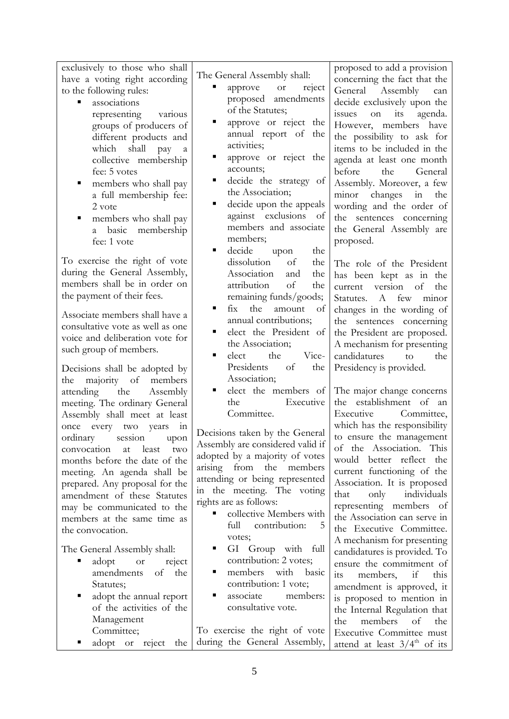| exclusively to those who shall                                     |                                          | proposed to add a provision                          |
|--------------------------------------------------------------------|------------------------------------------|------------------------------------------------------|
| have a voting right according                                      | The General Assembly shall:              | concerning the fact that the                         |
| to the following rules:                                            | approve<br><sub>or</sub><br>reject       | General Assembly<br>can                              |
| associations<br>Ξ                                                  | proposed amendments                      | decide exclusively upon the                          |
| representing<br>various                                            | of the Statutes;                         | its<br>agenda.<br>issues<br>on                       |
| groups of producers of                                             | approve or reject the<br>п               | However, members have                                |
| different products and                                             | annual report of the                     | the possibility to ask for                           |
| which shall<br>pay<br>$\rm{a}$                                     | activities;                              | items to be included in the                          |
| collective membership                                              | approve or reject the<br>п               | agenda at least one month                            |
| fee: 5 votes                                                       | accounts;                                | before<br>General<br>the                             |
| members who shall pay<br>Е                                         | decide the strategy of<br>п              | Assembly. Moreover, a few                            |
| a full membership fee:                                             | the Association;                         | minor changes<br>the<br>in                           |
| 2 vote                                                             | Ξ<br>decide upon the appeals             | wording and the order of                             |
| members who shall pay<br>п                                         | against exclusions<br>of                 | the sentences concerning                             |
| a basic membership                                                 | members and associate                    | the General Assembly are                             |
| fee: 1 vote                                                        | members;                                 | proposed.                                            |
|                                                                    | decide<br>٠<br>the<br>upon               |                                                      |
| To exercise the right of vote                                      | dissolution<br>of<br>the                 | The role of the President                            |
| during the General Assembly,<br>members shall be in order on       | Association<br>the<br>and                | has been kept as in the                              |
|                                                                    | attribution<br>of<br>the                 | version of<br>the<br>current                         |
| the payment of their fees.                                         | remaining funds/goods;                   | Statutes.<br>A few<br>minor                          |
| Associate members shall have a                                     | fix<br>the<br>п<br>amount<br>of          | changes in the wording of                            |
| consultative vote as well as one                                   | annual contributions;                    | the sentences concerning                             |
| voice and deliberation vote for                                    | elect the President of<br>٠              | the President are proposed.                          |
| such group of members.                                             | the Association;<br>٠                    | A mechanism for presenting                           |
|                                                                    | the<br>Vice-<br>elect                    | candidatures<br>the<br>to                            |
| Decisions shall be adopted by                                      | Presidents<br>of<br>the                  | Presidency is provided.                              |
| majority of<br>members<br>the                                      | Association;                             |                                                      |
| attending the<br>Assembly                                          | elect the members of<br>Executive<br>the | The major change concerns<br>the establishment of an |
| meeting. The ordinary General                                      | Committee.                               | Executive<br>Committee,                              |
| Assembly shall meet at least                                       |                                          | which has the responsibility                         |
| once every two<br>years<br>in                                      | Decisions taken by the General           | to ensure the management                             |
| ordinary session<br>upon                                           | Assembly are considered valid if         | of the Association. This                             |
| convocation<br>least<br>at<br>two<br>months before the date of the | adopted by a majority of votes           | would better reflect the                             |
|                                                                    | arising from<br>the members              | current functioning of the                           |
| meeting. An agenda shall be<br>prepared. Any proposal for the      | attending or being represented           | Association. It is proposed                          |
| amendment of these Statutes                                        | in the meeting. The voting               | only<br>that<br>individuals                          |
| may be communicated to the                                         | rights are as follows:                   | representing members of                              |
| members at the same time as                                        | collective Members with                  | the Association can serve in                         |
| the convocation.                                                   | full<br>contribution:<br>5               | the Executive Committee.                             |
|                                                                    | votes;                                   | A mechanism for presenting                           |
| The General Assembly shall:                                        | GI Group with full                       | candidatures is provided. To                         |
| adopt<br><b>or</b><br>reject                                       | contribution: 2 votes;                   | ensure the commitment of                             |
| amendments<br>οf<br>the                                            | members with<br>basic<br>п               | if<br>members,<br>this<br><i>its</i>                 |
| Statutes;                                                          | contribution: 1 vote;                    | amendment is approved, it                            |
| adopt the annual report<br>Е                                       | associate<br>п<br>members:               | is proposed to mention in                            |
| of the activities of the                                           | consultative vote.                       | the Internal Regulation that                         |
| Management                                                         |                                          | the<br>members<br>of<br>the                          |
| Committee;                                                         | To exercise the right of vote            | Executive Committee must                             |
| adopt or<br>reject the                                             | during the General Assembly,             | attend at least $3/4^{\text{th}}$ of its             |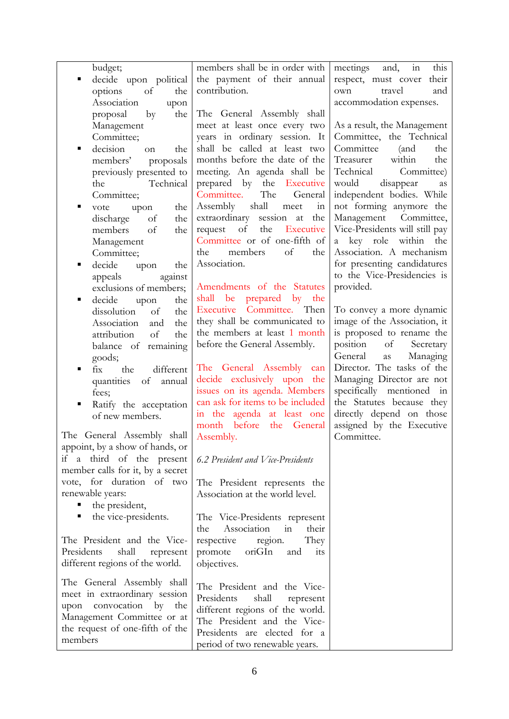| budget;                          | members shall be in order with                                 | this<br>meetings<br>in<br>and,   |
|----------------------------------|----------------------------------------------------------------|----------------------------------|
| decide upon political            | the payment of their annual                                    | respect, must cover their        |
| of<br>options<br>the             | contribution.                                                  | travel<br>and<br>own             |
| Association<br>upon              |                                                                | accommodation expenses.          |
| proposal<br>by<br>the            | The General Assembly shall                                     |                                  |
| Management                       | meet at least once every two                                   | As a result, the Management      |
| Committee;                       | years in ordinary session. It                                  | Committee, the Technical         |
| decision<br>the<br>٠<br>on       | shall be called at least two                                   | Committee<br>(and<br>the         |
| members'<br>proposals            | months before the date of the                                  | within<br>Treasurer<br>the       |
| previously presented to          | meeting. An agenda shall be                                    | Technical<br>Committee)          |
| Technical<br>the                 | prepared by<br>the<br>Executive                                | would<br>disappear<br>as         |
| Committee;                       | The<br>Committee.<br>General                                   | independent bodies. While        |
| the<br>vote<br>п<br>upon         | shall<br>Assembly<br>in<br>meet                                | not forming anymore the          |
| discharge<br>$\sigma$ f<br>the   | extraordinary<br>the<br>session<br>at                          | Management Committee,            |
| members<br>of<br>the             | the<br>of<br>Executive<br>request                              | Vice-Presidents will still pay   |
| Management                       | Committee or of one-fifth of                                   | a key role within<br>the         |
| Committee;                       | of<br>members<br>the<br>the                                    | Association. A mechanism         |
| decide<br>upon<br>the            | Association.                                                   | for presenting candidatures      |
| appeals<br>against               |                                                                | to the Vice-Presidencies is      |
| exclusions of members;           | Amendments of the Statutes                                     | provided.                        |
| decide<br>the<br>٠<br>upon       | shall be prepared by the                                       |                                  |
| dissolution<br>of<br>the         | Executive Committee. Then                                      | To convey a more dynamic         |
| Association<br>the<br>and        | they shall be communicated to                                  | image of the Association, it     |
| of<br>attribution<br>the         | the members at least 1 month                                   | is proposed to rename the        |
| balance of remaining             | before the General Assembly.                                   | position<br>of<br>Secretary      |
| goods;                           |                                                                | General<br>Managing<br><b>as</b> |
| the<br>different<br>fix<br>п     | The General Assembly<br>can                                    | Director. The tasks of the       |
| quantities<br>of<br>annual       | decide exclusively upon the                                    | Managing Director are not        |
| fees;                            | issues on its agenda. Members                                  | specifically mentioned in        |
| Ratify the acceptation           | can ask for items to be included                               | the Statutes because they        |
| of new members.                  | in the agenda at least one                                     | directly depend on those         |
|                                  | month before<br>the General                                    | assigned by the Executive        |
| The General Assembly shall       | Assembly.                                                      | Committee.                       |
| appoint, by a show of hands, or  |                                                                |                                  |
| if a third of the present        | 6.2 President and Vice-Presidents                              |                                  |
| member calls for it, by a secret |                                                                |                                  |
| vote, for duration of two        | The President represents the                                   |                                  |
| renewable years:                 | Association at the world level.                                |                                  |
| the president,                   |                                                                |                                  |
| the vice-presidents.             | The Vice-Presidents represent                                  |                                  |
|                                  | Association<br>in<br>their<br>the                              |                                  |
| The President and the Vice-      | They<br>respective<br>region.                                  |                                  |
| Presidents<br>shall<br>represent | oriGIn<br>promote<br>and<br>its                                |                                  |
| different regions of the world.  | objectives.                                                    |                                  |
| The General Assembly shall       |                                                                |                                  |
| meet in extraordinary session    | The President and the Vice-                                    |                                  |
| upon convocation by the          | Presidents<br>shall<br>represent                               |                                  |
| Management Committee or at       | different regions of the world.<br>The President and the Vice- |                                  |
| the request of one-fifth of the  | Presidents are elected for a                                   |                                  |
| members                          | period of two renewable years.                                 |                                  |
|                                  |                                                                |                                  |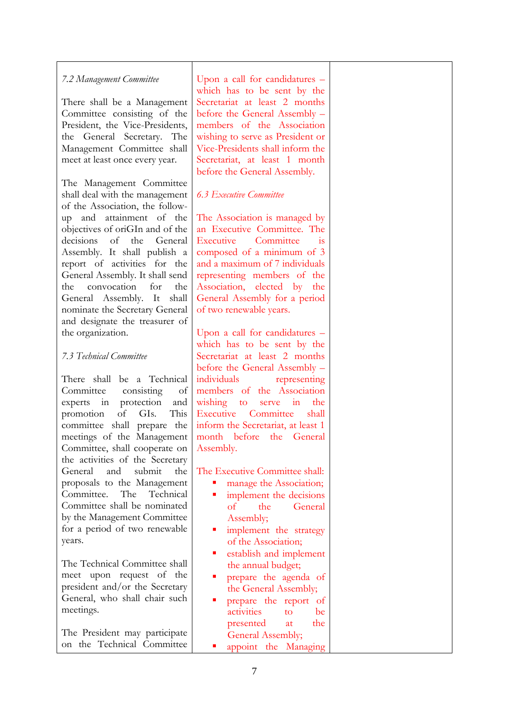### *7.2 Management Committee*

There shall be a Management Committee consisting of the President, the Vice-Presidents, the General Secretary. The Management Committee shall meet at least once every year.

The Management Committee shall deal with the management of the Association, the followup and attainment of the objectives of oriGIn and of the decisions of the General Assembly. It shall publish a report of activities for the General Assembly. It shall send the convocation for the General Assembly. It shall nominate the Secretary General and designate the treasurer of the organization.

#### *7.3 Technical Committee*

There shall be a Technical Committee consisting of experts in protection and promotion of GIs. This committee shall prepare the meetings of the Management Committee, shall cooperate on the activities of the Secretary General and submit the proposals to the Management Committee. The Technical Committee shall be nominated by the Management Committee for a period of two renewable years.

The Technical Committee shall meet upon request of the president and/or the Secretary General, who shall chair such meetings.

The President may participate on the Technical Committee

Upon a call for candidatures – which has to be sent by the Secretariat at least 2 months before the General Assembly – members of the Association wishing to serve as President or Vice-Presidents shall inform the Secretariat, at least 1 month before the General Assembly.

#### *6.3 Executive Committee*

The Association is managed by an Executive Committee. The Executive Committee is composed of a minimum of 3 and a maximum of 7 individuals representing members of the Association, elected by the General Assembly for a period of two renewable years.

Upon a call for candidatures – which has to be sent by the Secretariat at least 2 months before the General Assembly – individuals representing members of the Association wishing to serve in the Executive Committee shall inform the Secretariat, at least 1 month before the General Assembly.

The Executive Committee shall:

- manage the Association;
- **implement** the decisions of the General Assembly;
- **n** implement the strategy of the Association;
- establish and implement the annual budget;
- **Performance** the agenda of the General Assembly;
- prepare the report of activities to be presented at the General Assembly; **appoint** the Managing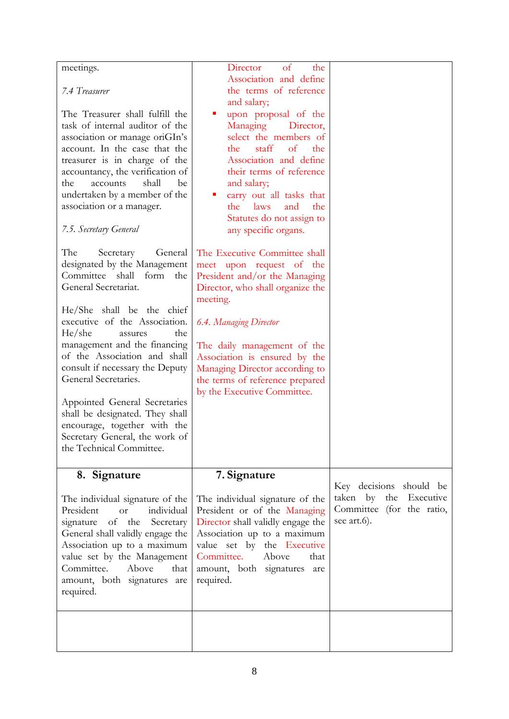| meetings.                                                                                                                                                                                                                                                                                                                                                                                                                       | Director<br>of<br>the                                                                                                                                                                                                                                                                                                                                                                |                                                                                                     |
|---------------------------------------------------------------------------------------------------------------------------------------------------------------------------------------------------------------------------------------------------------------------------------------------------------------------------------------------------------------------------------------------------------------------------------|--------------------------------------------------------------------------------------------------------------------------------------------------------------------------------------------------------------------------------------------------------------------------------------------------------------------------------------------------------------------------------------|-----------------------------------------------------------------------------------------------------|
| 7.4 Treasurer                                                                                                                                                                                                                                                                                                                                                                                                                   | Association and define<br>the terms of reference<br>and salary;                                                                                                                                                                                                                                                                                                                      |                                                                                                     |
| The Treasurer shall fulfill the<br>task of internal auditor of the<br>association or manage oriGIn's<br>account. In the case that the<br>treasurer is in charge of the<br>accountancy, the verification of<br>shall<br>the<br>accounts<br>be<br>undertaken by a member of the<br>association or a manager.<br>7.5. Secretary General<br>The<br>General<br>Secretary<br>designated by the Management<br>Committee shall form the | upon proposal of the<br>Managing<br>Director,<br>select the members of<br>staff<br>the<br>of<br>the<br>Association and define<br>their terms of reference<br>and salary;<br>carry out all tasks that<br>the<br>laws<br>and<br>the<br>Statutes do not assign to<br>any specific organs.<br>The Executive Committee shall<br>meet upon request of the<br>President and/or the Managing |                                                                                                     |
| General Secretariat.<br>He/She shall be the chief<br>executive of the Association.<br>He/she<br>the<br>assures<br>management and the financing<br>of the Association and shall<br>consult if necessary the Deputy<br>General Secretaries.<br>Appointed General Secretaries<br>shall be designated. They shall<br>encourage, together with the<br>Secretary General, the work of<br>the Technical Committee.                     | Director, who shall organize the<br>meeting.<br><b>6.4. Managing Director</b><br>The daily management of the<br>Association is ensured by the<br>Managing Director according to<br>the terms of reference prepared<br>by the Executive Committee.                                                                                                                                    |                                                                                                     |
| 8. Signature                                                                                                                                                                                                                                                                                                                                                                                                                    | 7. Signature                                                                                                                                                                                                                                                                                                                                                                         |                                                                                                     |
| The individual signature of the<br>individual<br>President<br><b>or</b><br>of the Secretary<br>signature<br>General shall validly engage the<br>Association up to a maximum<br>value set by the Management<br>Committee.<br>Above<br>that<br>amount, both signatures are<br>required.                                                                                                                                           | The individual signature of the<br>President or of the Managing<br>Director shall validly engage the<br>Association up to a maximum<br>value set by the Executive<br>Committee.<br>Above<br>that<br>amount, both signatures<br>are<br>required.                                                                                                                                      | Key decisions should be<br>Executive<br>taken by<br>the<br>Committee (for the ratio,<br>see art.6). |
|                                                                                                                                                                                                                                                                                                                                                                                                                                 |                                                                                                                                                                                                                                                                                                                                                                                      |                                                                                                     |